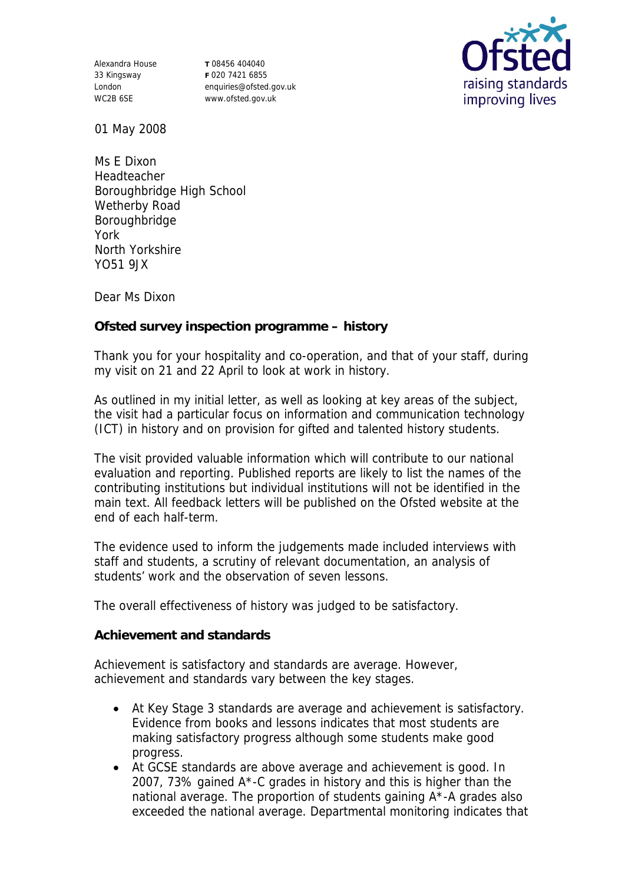Alexandra House 33 Kingsway London WC2B 6SE

**T** 08456 404040 **F** 020 7421 6855 enquiries@ofsted.gov.uk www.ofsted.gov.uk



01 May 2008

Ms E Dixon Headteacher Boroughbridge High School Wetherby Road Boroughbridge York North Yorkshire YO51 9JX

Dear Ms Dixon

**Ofsted survey inspection programme – history**

Thank you for your hospitality and co-operation, and that of your staff, during my visit on 21 and 22 April to look at work in history.

As outlined in my initial letter, as well as looking at key areas of the subject, the visit had a particular focus on information and communication technology (ICT) in history and on provision for gifted and talented history students.

The visit provided valuable information which will contribute to our national evaluation and reporting. Published reports are likely to list the names of the contributing institutions but individual institutions will not be identified in the main text. All feedback letters will be published on the Ofsted website at the end of each half-term.

The evidence used to inform the judgements made included interviews with staff and students, a scrutiny of relevant documentation, an analysis of students' work and the observation of seven lessons.

The overall effectiveness of history was judged to be satisfactory.

**Achievement and standards** 

Achievement is satisfactory and standards are average. However, achievement and standards vary between the key stages.

- At Key Stage 3 standards are average and achievement is satisfactory. Evidence from books and lessons indicates that most students are making satisfactory progress although some students make good progress.
- At GCSE standards are above average and achievement is good. In 2007, 73% gained A\*-C grades in history and this is higher than the national average. The proportion of students gaining A\*-A grades also exceeded the national average. Departmental monitoring indicates that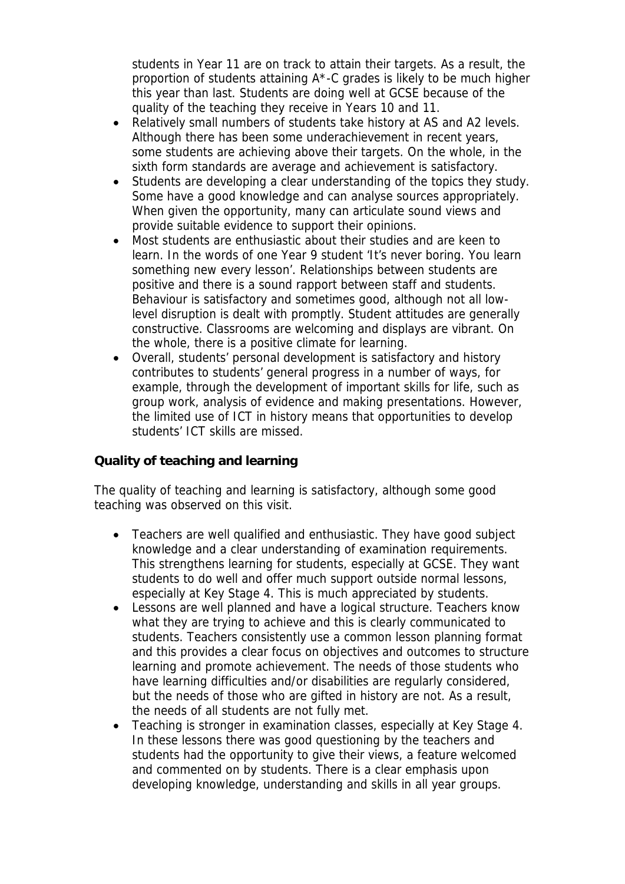students in Year 11 are on track to attain their targets. As a result, the proportion of students attaining A\*-C grades is likely to be much higher this year than last. Students are doing well at GCSE because of the quality of the teaching they receive in Years 10 and 11.

- Relatively small numbers of students take history at AS and A2 levels. Although there has been some underachievement in recent years, some students are achieving above their targets. On the whole, in the sixth form standards are average and achievement is satisfactory.
- Students are developing a clear understanding of the topics they study. Some have a good knowledge and can analyse sources appropriately. When given the opportunity, many can articulate sound views and provide suitable evidence to support their opinions.
- Most students are enthusiastic about their studies and are keen to learn. In the words of one Year 9 student 'It's never boring. You learn something new every lesson'. Relationships between students are positive and there is a sound rapport between staff and students. Behaviour is satisfactory and sometimes good, although not all lowlevel disruption is dealt with promptly. Student attitudes are generally constructive. Classrooms are welcoming and displays are vibrant. On the whole, there is a positive climate for learning.
- Overall, students' personal development is satisfactory and history contributes to students' general progress in a number of ways, for example, through the development of important skills for life, such as group work, analysis of evidence and making presentations. However, the limited use of ICT in history means that opportunities to develop students' ICT skills are missed.

## **Quality of teaching and learning**

The quality of teaching and learning is satisfactory, although some good teaching was observed on this visit.

- Teachers are well qualified and enthusiastic. They have good subject knowledge and a clear understanding of examination requirements. This strengthens learning for students, especially at GCSE. They want students to do well and offer much support outside normal lessons, especially at Key Stage 4. This is much appreciated by students.
- Lessons are well planned and have a logical structure. Teachers know what they are trying to achieve and this is clearly communicated to students. Teachers consistently use a common lesson planning format and this provides a clear focus on objectives and outcomes to structure learning and promote achievement. The needs of those students who have learning difficulties and/or disabilities are regularly considered, but the needs of those who are gifted in history are not. As a result, the needs of all students are not fully met.
- Teaching is stronger in examination classes, especially at Key Stage 4. In these lessons there was good questioning by the teachers and students had the opportunity to give their views, a feature welcomed and commented on by students. There is a clear emphasis upon developing knowledge, understanding and skills in all year groups.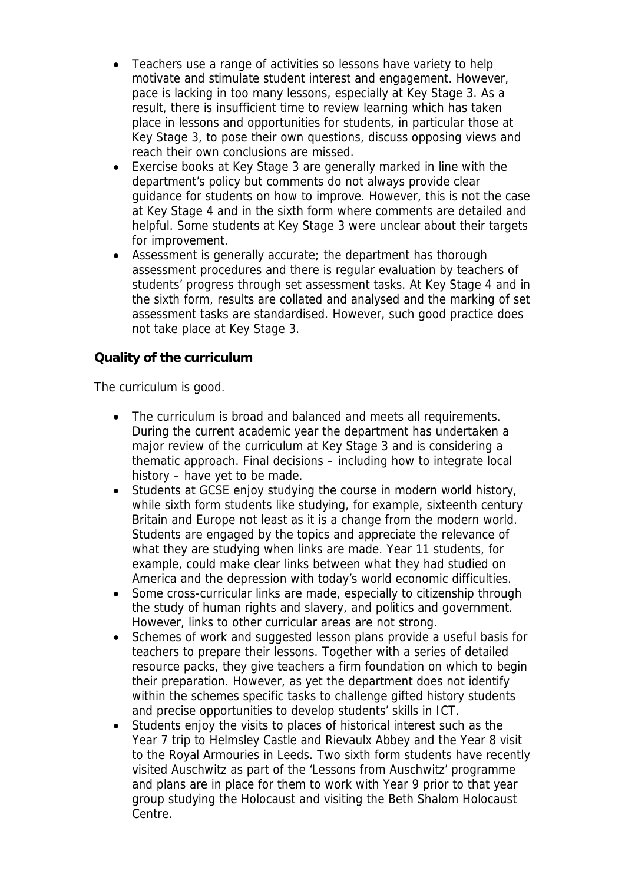- Teachers use a range of activities so lessons have variety to help motivate and stimulate student interest and engagement. However, pace is lacking in too many lessons, especially at Key Stage 3. As a result, there is insufficient time to review learning which has taken place in lessons and opportunities for students, in particular those at Key Stage 3, to pose their own questions, discuss opposing views and reach their own conclusions are missed.
- Exercise books at Key Stage 3 are generally marked in line with the department's policy but comments do not always provide clear guidance for students on how to improve. However, this is not the case at Key Stage 4 and in the sixth form where comments are detailed and helpful. Some students at Key Stage 3 were unclear about their targets for improvement.
- Assessment is generally accurate; the department has thorough assessment procedures and there is regular evaluation by teachers of students' progress through set assessment tasks. At Key Stage 4 and in the sixth form, results are collated and analysed and the marking of set assessment tasks are standardised. However, such good practice does not take place at Key Stage 3.

## **Quality of the curriculum**

The curriculum is good.

- The curriculum is broad and balanced and meets all requirements. During the current academic year the department has undertaken a major review of the curriculum at Key Stage 3 and is considering a thematic approach. Final decisions – including how to integrate local history – have yet to be made.
- Students at GCSE enjoy studying the course in modern world history, while sixth form students like studying, for example, sixteenth century Britain and Europe not least as it is a change from the modern world. Students are engaged by the topics and appreciate the relevance of what they are studying when links are made. Year 11 students, for example, could make clear links between what they had studied on America and the depression with today's world economic difficulties.
- Some cross-curricular links are made, especially to citizenship through the study of human rights and slavery, and politics and government. However, links to other curricular areas are not strong.
- Schemes of work and suggested lesson plans provide a useful basis for teachers to prepare their lessons. Together with a series of detailed resource packs, they give teachers a firm foundation on which to begin their preparation. However, as yet the department does not identify within the schemes specific tasks to challenge gifted history students and precise opportunities to develop students' skills in ICT.
- Students enjoy the visits to places of historical interest such as the Year 7 trip to Helmsley Castle and Rievaulx Abbey and the Year 8 visit to the Royal Armouries in Leeds. Two sixth form students have recently visited Auschwitz as part of the 'Lessons from Auschwitz' programme and plans are in place for them to work with Year 9 prior to that year group studying the Holocaust and visiting the Beth Shalom Holocaust Centre.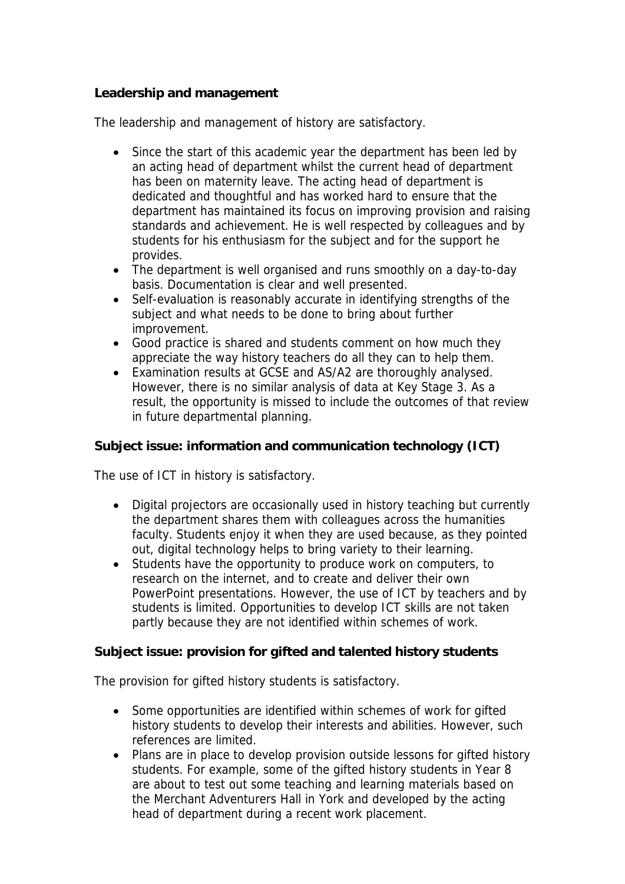## **Leadership and management**

The leadership and management of history are satisfactory.

- Since the start of this academic year the department has been led by an acting head of department whilst the current head of department has been on maternity leave. The acting head of department is dedicated and thoughtful and has worked hard to ensure that the department has maintained its focus on improving provision and raising standards and achievement. He is well respected by colleagues and by students for his enthusiasm for the subject and for the support he provides.
- The department is well organised and runs smoothly on a day-to-day basis. Documentation is clear and well presented.
- Self-evaluation is reasonably accurate in identifying strengths of the subject and what needs to be done to bring about further improvement.
- Good practice is shared and students comment on how much they appreciate the way history teachers do all they can to help them.
- Examination results at GCSE and AS/A2 are thoroughly analysed. However, there is no similar analysis of data at Key Stage 3. As a result, the opportunity is missed to include the outcomes of that review in future departmental planning.

**Subject issue: information and communication technology (ICT)**

The use of ICT in history is satisfactory.

- Digital projectors are occasionally used in history teaching but currently the department shares them with colleagues across the humanities faculty. Students enjoy it when they are used because, as they pointed out, digital technology helps to bring variety to their learning.
- Students have the opportunity to produce work on computers, to research on the internet, and to create and deliver their own PowerPoint presentations. However, the use of ICT by teachers and by students is limited. Opportunities to develop ICT skills are not taken partly because they are not identified within schemes of work.

**Subject issue: provision for gifted and talented history students**

The provision for gifted history students is satisfactory.

- Some opportunities are identified within schemes of work for gifted history students to develop their interests and abilities. However, such references are limited.
- Plans are in place to develop provision outside lessons for gifted history students. For example, some of the gifted history students in Year 8 are about to test out some teaching and learning materials based on the Merchant Adventurers Hall in York and developed by the acting head of department during a recent work placement.